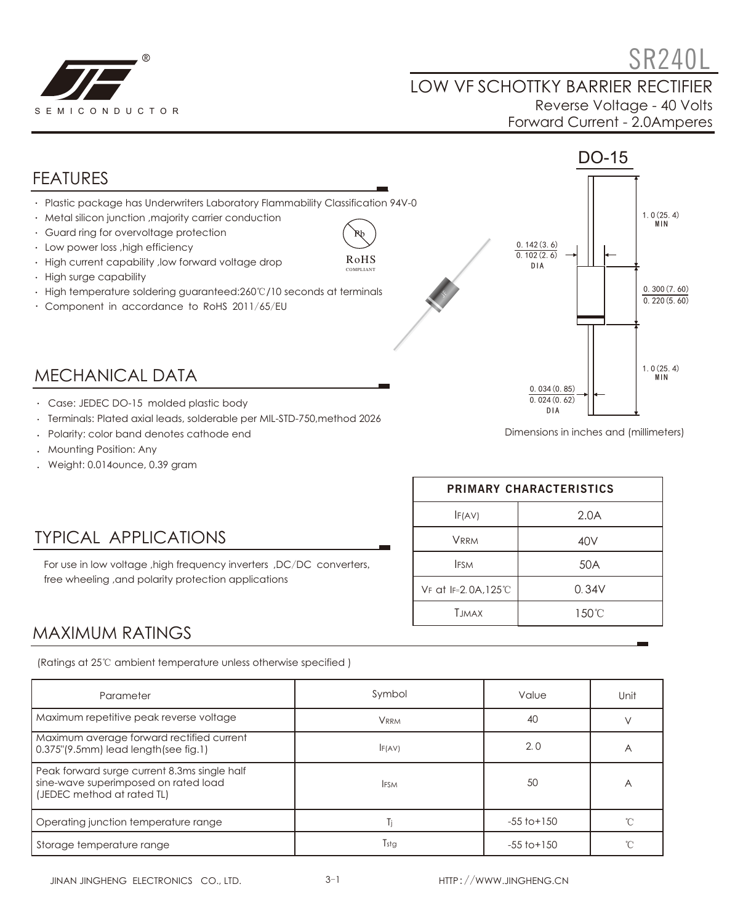

 $S$ R240L LOW VF SCHOTTKY BARRIER RECTIFIER Reverse Voltage - 40 Volts Forward Current - 2.0Amperes



- Terminals: Plated axial leads, solderable per MIL-STD-750,method 2026
- 
- Polarity: color band denotes cathode end
- Mounting Position: Any
- Weight: 0.014ounce, 0.39 gram

# Dimensions in inches and (millimeters)

### TYPICAL APPLICATIONS

For use in low voltage ,high frequency inverters ,DC/DC converters, free wheeling ,and polarity protection applications

| PRIMARY CHARACTERISTICS |       |  |  |
|-------------------------|-------|--|--|
| IF(AV)                  | 2.0A  |  |  |
| <b>VRRM</b>             | 40V   |  |  |
| <b>IFSM</b>             | 50A   |  |  |
| VF at IF=2.0A,125°C     | 0.34V |  |  |
| <b>T.IMAX</b>           | 150°C |  |  |

#### MAXIMUM RATINGS

(Ratings at 25℃ ambient temperature unless otherwise specified )

| Parameter                                                                                                          | Symbol      | Value           | Unit           |
|--------------------------------------------------------------------------------------------------------------------|-------------|-----------------|----------------|
| Maximum repetitive peak reverse voltage                                                                            | <b>VRRM</b> | 40              |                |
| Maximum average forward rectified current<br>$0.375$ "(9.5mm) lead length(see fig.1)                               | F(AV)       | 2.0             | $\overline{A}$ |
| Peak forward surge current 8.3ms single half<br>sine-wave superimposed on rated load<br>(JEDEC method at rated TL) | <b>IFSM</b> | 50              | А              |
| Operating junction temperature range                                                                               | Ti          | $-55$ to $+150$ |                |
| Storage temperature range                                                                                          | Tstg        | $-55$ to $+150$ |                |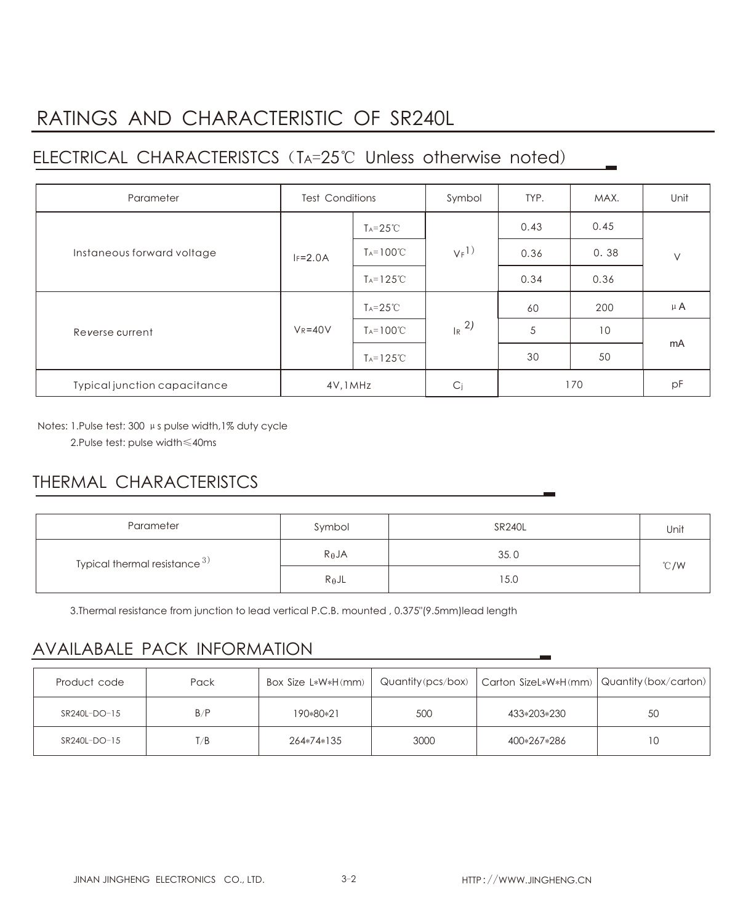# RATINGS AND CHARACTERISTIC OF SR240L

## ELECTRICAL CHARACTERISTCS(TA=25℃ Unless otherwise noted)

| Parameter                    | <b>Test Conditions</b> |                       | Symbol              | TYP. | MAX. | Unit   |
|------------------------------|------------------------|-----------------------|---------------------|------|------|--------|
| Instaneous forward voltage   |                        | $T_A = 25^{\circ}$ C  | $V_F$ <sup>1)</sup> | 0.43 | 0.45 | $\vee$ |
|                              | $IF=2.0A$              | $T_A = 100^{\circ}C$  |                     | 0.36 | 0.38 |        |
|                              |                        | $T_A = 125^{\circ}$ C |                     | 0.34 | 0.36 |        |
| Reverse current              | $V_R = 40V$            | $T_A = 25^{\circ}C$   | $R^{2}$             | 60   | 200  | μA     |
|                              |                        | $T_A = 100^{\circ}C$  |                     | 5    | 10   | mA     |
|                              |                        | $T_A = 125^{\circ}$ C |                     | 30   | 50   |        |
| Typical junction capacitance | 4V, 1MHz               |                       | C <sub>i</sub>      | 170  |      | pF     |

Notes: 1.Pulse test: 300 μs pulse width,1% duty cycle

2.Pulse test: pulse width≤40ms

## THERMAL CHARACTERISTCS

| Parameter                       | Symbol          | <b>SR240L</b> | Unit |  |
|---------------------------------|-----------------|---------------|------|--|
| Typical thermal resistance $3)$ | $R_{\theta}$ JA | 35.0          | °C/W |  |
|                                 | $R_{\theta}$ JL | 15.0          |      |  |

3.Thermal resistance from junction to lead vertical P.C.B. mounted , 0.375"(9.5mm)lead length

### AVAILABALE PACK INFORMATION

| Product code | Pack | Box Size L*W*H(mm) |      | Quantity (pcs/box)   Carton SizeL*W*H(mm)   Quantity (box/carton) |    |
|--------------|------|--------------------|------|-------------------------------------------------------------------|----|
| SR240L-DO-15 | B/P  | 190*80*21          | 500  | 433*203*230                                                       | 50 |
| SR240L-DO-15 | T/B  | 264*74*135         | 3000 | 400*267*286                                                       | 1C |